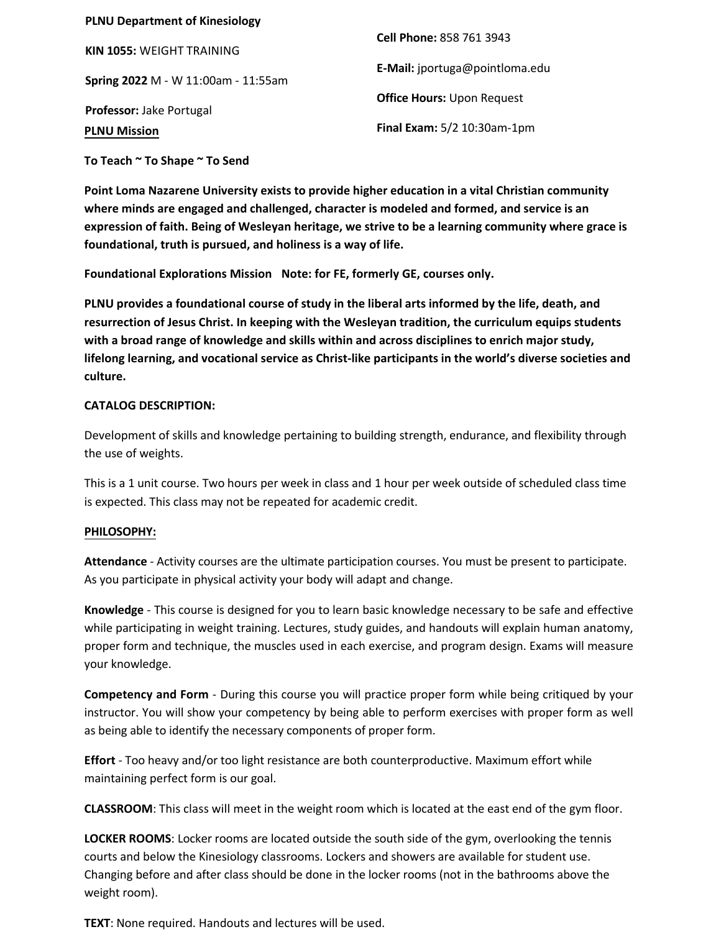| <b>PLNU Department of Kinesiology</b> |                                   |
|---------------------------------------|-----------------------------------|
| <b>KIN 1055: WEIGHT TRAINING</b>      | Cell Phone: 858 761 3943          |
| Spring 2022 M - W 11:00am - 11:55am   | E-Mail: jportuga@pointloma.edu    |
|                                       | <b>Office Hours: Upon Request</b> |
| Professor: Jake Portugal              |                                   |
| <b>PLNU Mission</b>                   | Final Exam: 5/2 10:30am-1pm       |

**To Teach ~ To Shape ~ To Send**

**Point Loma Nazarene University exists to provide higher education in a vital Christian community where minds are engaged and challenged, character is modeled and formed, and service is an expression of faith. Being of Wesleyan heritage, we strive to be a learning community where grace is foundational, truth is pursued, and holiness is a way of life.**

**Foundational Explorations Mission Note: for FE, formerly GE, courses only.**

**PLNU provides a foundational course of study in the liberal arts informed by the life, death, and resurrection of Jesus Christ. In keeping with the Wesleyan tradition, the curriculum equips students with a broad range of knowledge and skills within and across disciplines to enrich major study, lifelong learning, and vocational service as Christ-like participants in the world's diverse societies and culture.** 

#### **CATALOG DESCRIPTION:**

Development of skills and knowledge pertaining to building strength, endurance, and flexibility through the use of weights.

This is a 1 unit course. Two hours per week in class and 1 hour per week outside of scheduled class time is expected. This class may not be repeated for academic credit.

#### **PHILOSOPHY:**

**Attendance** - Activity courses are the ultimate participation courses. You must be present to participate. As you participate in physical activity your body will adapt and change.

**Knowledge** - This course is designed for you to learn basic knowledge necessary to be safe and effective while participating in weight training. Lectures, study guides, and handouts will explain human anatomy, proper form and technique, the muscles used in each exercise, and program design. Exams will measure your knowledge.

**Competency and Form** - During this course you will practice proper form while being critiqued by your instructor. You will show your competency by being able to perform exercises with proper form as well as being able to identify the necessary components of proper form.

**Effort** - Too heavy and/or too light resistance are both counterproductive. Maximum effort while maintaining perfect form is our goal.

**CLASSROOM**: This class will meet in the weight room which is located at the east end of the gym floor.

**LOCKER ROOMS**: Locker rooms are located outside the south side of the gym, overlooking the tennis courts and below the Kinesiology classrooms. Lockers and showers are available for student use. Changing before and after class should be done in the locker rooms (not in the bathrooms above the weight room).

**TEXT**: None required. Handouts and lectures will be used.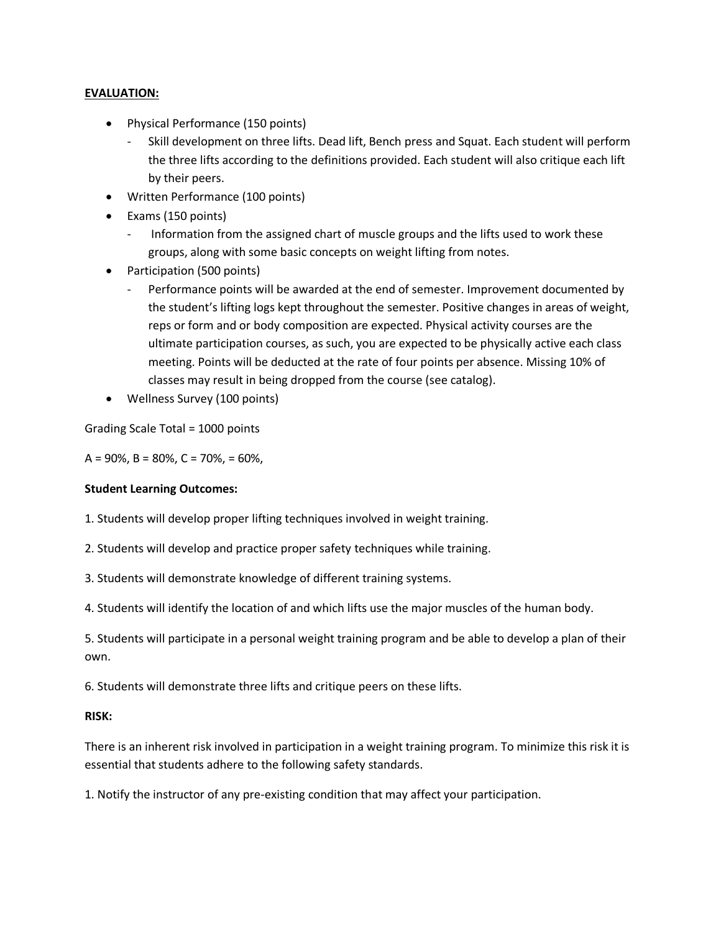#### **EVALUATION:**

- Physical Performance (150 points)
	- Skill development on three lifts. Dead lift, Bench press and Squat. Each student will perform the three lifts according to the definitions provided. Each student will also critique each lift by their peers.
- Written Performance (100 points)
- Exams (150 points)
	- Information from the assigned chart of muscle groups and the lifts used to work these groups, along with some basic concepts on weight lifting from notes.
- Participation (500 points)
	- Performance points will be awarded at the end of semester. Improvement documented by the student's lifting logs kept throughout the semester. Positive changes in areas of weight, reps or form and or body composition are expected. Physical activity courses are the ultimate participation courses, as such, you are expected to be physically active each class meeting. Points will be deducted at the rate of four points per absence. Missing 10% of classes may result in being dropped from the course (see catalog).
- Wellness Survey (100 points)

Grading Scale Total = 1000 points

 $A = 90\%$ ,  $B = 80\%$ ,  $C = 70\%$ ,  $= 60\%$ ,

#### **Student Learning Outcomes:**

1. Students will develop proper lifting techniques involved in weight training.

2. Students will develop and practice proper safety techniques while training.

3. Students will demonstrate knowledge of different training systems.

4. Students will identify the location of and which lifts use the major muscles of the human body.

5. Students will participate in a personal weight training program and be able to develop a plan of their own.

6. Students will demonstrate three lifts and critique peers on these lifts.

#### **RISK:**

There is an inherent risk involved in participation in a weight training program. To minimize this risk it is essential that students adhere to the following safety standards.

1. Notify the instructor of any pre-existing condition that may affect your participation.